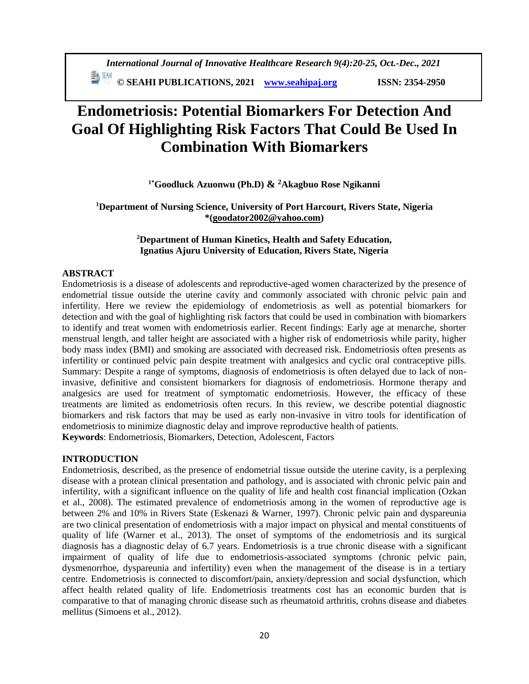*International Journal of Innovative Healthcare Research 9(4):20-25, Oct.-Dec., 2021* **ED** SEAHI PUBLICATIONS, 2021 *[www.seahipaj.org](http://www.seahipaj.org/)* ISSN: 2354-2950

# **Endometriosis: Potential Biomarkers For Detection And Goal Of Highlighting Risk Factors That Could Be Used In Combination With Biomarkers**

**1\*Goodluck Azuonwu (Ph.D) & <sup>2</sup>Akagbuo Rose Ngikanni**

**<sup>1</sup>Department of Nursing Science, University of Port Harcourt, Rivers State, Nigeria \*[\(goodator2002@yahoo.com\)](mailto:goodator2002@yahoo.com)**

### **<sup>2</sup>Department of Human Kinetics, Health and Safety Education, Ignatius Ajuru University of Education, Rivers State, Nigeria**

### **ABSTRACT**

Endometriosis is a disease of adolescents and reproductive-aged women characterized by the presence of endometrial tissue outside the uterine cavity and commonly associated with chronic pelvic pain and infertility. Here we review the epidemiology of endometriosis as well as potential biomarkers for detection and with the goal of highlighting risk factors that could be used in combination with biomarkers to identify and treat women with endometriosis earlier. Recent findings: Early age at menarche, shorter menstrual length, and taller height are associated with a higher risk of endometriosis while parity, higher body mass index (BMI) and smoking are associated with decreased risk. Endometriosis often presents as infertility or continued pelvic pain despite treatment with analgesics and cyclic oral contraceptive pills. Summary: Despite a range of symptoms, diagnosis of endometriosis is often delayed due to lack of noninvasive, definitive and consistent biomarkers for diagnosis of endometriosis. Hormone therapy and analgesics are used for treatment of symptomatic endometriosis. However, the efficacy of these treatments are limited as endometriosis often recurs. In this review, we describe potential diagnostic biomarkers and risk factors that may be used as early non-invasive in vitro tools for identification of endometriosis to minimize diagnostic delay and improve reproductive health of patients. **Keywords**: Endometriosis, Biomarkers, Detection, Adolescent, Factors

### **INTRODUCTION**

Endometriosis, described, as the presence of endometrial tissue outside the uterine cavity, is a perplexing disease with a protean clinical presentation and pathology, and is associated with chronic pelvic pain and infertility, with a significant influence on the quality of life and health cost financial implication (Ozkan et al., 2008). The estimated prevalence of endometriosis among in the women of reproductive age is between 2% and 10% in Rivers State (Eskenazi & Warner, 1997). Chronic pelvic pain and dyspareunia are two clinical presentation of endometriosis with a major impact on physical and mental constituents of quality of life (Warner et al., 2013). The onset of symptoms of the endometriosis and its surgical diagnosis has a diagnostic delay of 6.7 years. Endometriosis is a true chronic disease with a significant impairment of quality of life due to endometriosis-associated symptoms (chronic pelvic pain, dysmenorrhoe, dyspareunia and infertility) even when the management of the disease is in a tertiary centre. Endometriosis is connected to discomfort/pain, anxiety/depression and social dysfunction, which affect health related quality of life. Endometriosis treatments cost has an economic burden that is comparative to that of managing chronic disease such as rheumatoid arthritis, crohns disease and diabetes mellitus (Simoens et al., 2012).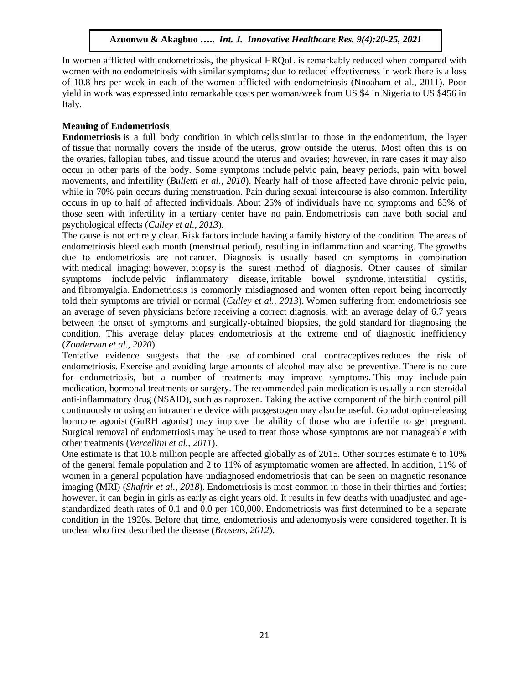In women afflicted with endometriosis, the physical HRQoL is remarkably reduced when compared with women with no endometriosis with similar symptoms; due to reduced effectiveness in work there is a loss of 10.8 hrs per week in each of the women afflicted with endometriosis (Nnoaham et al., 2011). Poor yield in work was expressed into remarkable costs per woman/week from US \$4 in Nigeria to US \$456 in Italy.

## **Meaning of Endometriosis**

**Endometriosis** is a full body condition in which [cells](https://en.wikipedia.org/wiki/Cell_(biology)) similar to those in the [endometrium,](https://en.wikipedia.org/wiki/Endometrium) the layer of [tissue](https://en.wikipedia.org/wiki/Tissue_(biology)) that normally covers the inside of the [uterus,](https://en.wikipedia.org/wiki/Uterus) grow outside the uterus. Most often this is on the [ovaries,](https://en.wikipedia.org/wiki/Ovaries) [fallopian tubes,](https://en.wikipedia.org/wiki/Fallopian_tube) and tissue around the uterus and ovaries; however, in rare cases it may also occur in other parts of the body. Some symptoms include [pelvic pain,](https://en.wikipedia.org/wiki/Pelvic_pain) heavy periods, pain with bowel movements, and [infertility](https://en.wikipedia.org/wiki/Endometriosis_and_infertility) (*Bulletti et al., 2010*). Nearly half of those affected have [chronic pelvic pain,](https://en.wikipedia.org/wiki/Chronic_pelvic_pain) while in 70% pain occurs during [menstruation.](https://en.wikipedia.org/wiki/Menstruation) [Pain during sexual intercourse](https://en.wikipedia.org/wiki/Dyspareunia) is also common. Infertility occurs in up to half of affected individuals. About 25% of individuals have no symptoms and 85% of those seen with infertility in a tertiary center have no pain. Endometriosis can have both social and psychological effects (*Culley et al., 2013*).

The cause is not entirely clear. Risk factors include having a family history of the condition. The areas of endometriosis bleed each month (menstrual period), resulting in inflammation and scarring. The growths due to endometriosis are not [cancer.](https://en.wikipedia.org/wiki/Cancer) Diagnosis is usually based on symptoms in combination with [medical imaging;](https://en.wikipedia.org/wiki/Medical_imaging) however, [biopsy](https://en.wikipedia.org/wiki/Biopsy) is the surest method of diagnosis. Other causes of similar symptoms include [pelvic inflammatory disease,](https://en.wikipedia.org/wiki/Pelvic_inflammatory_disease) [irritable bowel syndrome,](https://en.wikipedia.org/wiki/Irritable_bowel_syndrome) [interstitial cystitis,](https://en.wikipedia.org/wiki/Interstitial_cystitis) and [fibromyalgia.](https://en.wikipedia.org/wiki/Fibromyalgia) Endometriosis is commonly misdiagnosed and women often report being incorrectly told their symptoms are trivial or normal (*Culley et al., 2013*). Women suffering from endometriosis see an average of seven physicians before receiving a correct diagnosis, with an average delay of 6.7 years between the onset of symptoms and surgically-obtained biopsies, the [gold standard](https://en.wikipedia.org/wiki/Gold_standard_(test)) for diagnosing the condition. This average delay places endometriosis at the extreme end of diagnostic inefficiency (*Zondervan et al., 2020*).

Tentative evidence suggests that the use of [combined oral contraceptives](https://en.wikipedia.org/wiki/Combined_oral_contraceptive_pill) reduces the risk of endometriosis. Exercise and avoiding large amounts of alcohol may also be preventive. There is no cure for endometriosis, but a number of treatments may improve symptoms. This may include [pain](https://en.wikipedia.org/wiki/Pain_medication)  [medication,](https://en.wikipedia.org/wiki/Pain_medication) hormonal treatments or surgery. The recommended pain medication is usually a [non-steroidal](https://en.wikipedia.org/wiki/Non-steroidal_anti-inflammatory_drug)  [anti-inflammatory drug](https://en.wikipedia.org/wiki/Non-steroidal_anti-inflammatory_drug) (NSAID), such as [naproxen.](https://en.wikipedia.org/wiki/Naproxen) Taking the active component of the birth control pill continuously or using an [intrauterine device with progestogen](https://en.wikipedia.org/wiki/Intrauterine_device_with_progestogen) may also be useful. [Gonadotropin-releasing](https://en.wikipedia.org/wiki/Gonadotropin-releasing_hormone_agonist)  [hormone agonist](https://en.wikipedia.org/wiki/Gonadotropin-releasing_hormone_agonist) (GnRH agonist) may improve the ability of those who are infertile to get pregnant. Surgical removal of endometriosis may be used to treat those whose symptoms are not manageable with other treatments (*Vercellini et al., 2011*).

One estimate is that 10.8 million people are affected globally as of 2015. Other sources estimate 6 to 10% of the general female population and 2 to 11% of asymptomatic women are affected. In addition, 11% of women in a general population have undiagnosed endometriosis that can be seen on magnetic resonance imaging [\(MRI\)](https://en.wikipedia.org/wiki/MRI) (*Shafrir et al., 2018*). Endometriosis is most common in those in their thirties and forties; however, it can begin in girls as early as eight years old. It results in few deaths with unadjusted and agestandardized death rates of 0.1 and 0.0 per 100,000. Endometriosis was first determined to be a separate condition in the 1920s. Before that time, endometriosis and [adenomyosis](https://en.wikipedia.org/wiki/Adenomyosis) were considered together. It is unclear who first described the disease (*Brosens, 2012*).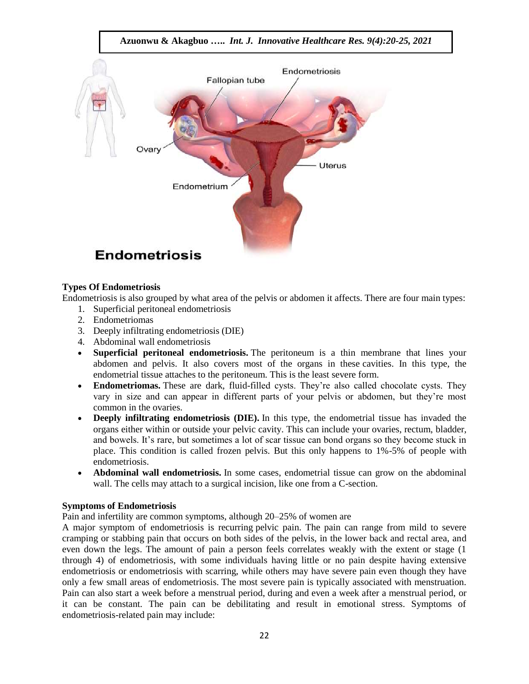

### **Types Of Endometriosis**

Endometriosis is also grouped by what area of the pelvis or abdomen it affects. There are four main types: 1. Superficial peritoneal endometriosis

- 
- 2. Endometriomas
- 3. Deeply infiltrating endometriosis (DIE)
- 4. Abdominal wall endometriosis
- **Superficial peritoneal endometriosis.** The peritoneum is a thin membrane that lines your abdomen and pelvis. It also covers most of the organs in these [cavities.](https://www.webmd.com/oral-health/guide/dental-health-cavities) In this type, the endometrial tissue attaches to the peritoneum. This is the least severe form.
- **Endometriomas.** These are dark, fluid-filled cysts. They're also called chocolate cysts. They vary in size and can appear in different parts of your pelvis or abdomen, but they're most common in the ovaries.
- **Deeply infiltrating endometriosis (DIE).** In this type, the endometrial tissue has invaded the organs either within or outside your pelvic cavity. This can include your ovaries, rectum, [bladder,](https://www.webmd.com/urinary-incontinence-oab/picture-of-the-bladder) and bowels. It's rare, but sometimes a lot of scar tissue can bond organs so they become stuck in place. This condition is called frozen pelvis. But this only happens to 1%-5% of people with endometriosis.
- **Abdominal wall endometriosis.** In some cases, endometrial tissue can grow on the abdominal wall. The cells may attach to a surgical incision, like one from a C-section.

#### **Symptoms of Endometriosis**

Pain and infertility are common symptoms, although 20–25% of women are

A major symptom of endometriosis is recurring [pelvic pain.](https://en.wikipedia.org/wiki/Pelvic_pain) The pain can range from mild to severe cramping or stabbing pain that occurs on both sides of the pelvis, in the lower back and rectal area, and even down the legs. The amount of pain a person feels correlates weakly with the extent or stage (1 through 4) of endometriosis, with some individuals having little or no pain despite having extensive endometriosis or endometriosis with scarring, while others may have severe pain even though they have only a few small areas of endometriosis. The most severe pain is typically associated with menstruation. Pain can also start a week before a menstrual period, during and even a week after a menstrual period, or it can be constant. The pain can be debilitating and result in emotional stress. Symptoms of endometriosis-related pain may include: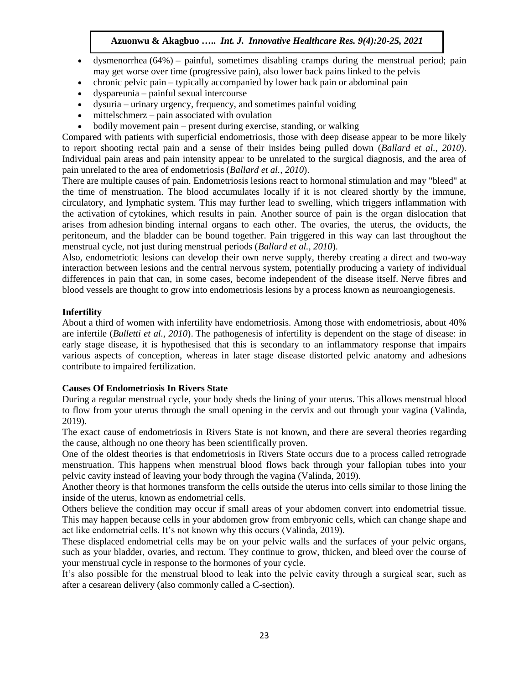- [dysmenorrhea](https://en.wikipedia.org/wiki/Dysmenorrhea)  $(64%)$  painful, sometimes disabling cramps during the menstrual period; pain may get worse over time (progressive pain), also lower back pains linked to the pelvis
- [chronic pelvic pain](https://en.wikipedia.org/wiki/Chronic_pelvic_pain) typically accompanied by lower back pain or abdominal pain
- [dyspareunia](https://en.wikipedia.org/wiki/Dyspareunia) painful [sexual intercourse](https://en.wikipedia.org/wiki/Sexual_intercourse)
- [dysuria](https://en.wikipedia.org/wiki/Dysuria) urinary urgency, frequency, and sometimes painful voiding
- [mittelschmerz](https://en.wikipedia.org/wiki/Mittelschmerz) pain associated with ovulation
- bodily movement pain present during exercise, standing, or walking

Compared with patients with superficial endometriosis, those with deep disease appear to be more likely to report shooting rectal pain and a sense of their insides being pulled down (*Ballard et al., 2010*). Individual pain areas and pain intensity appear to be unrelated to the surgical diagnosis, and the area of pain unrelated to the area of endometriosis (*Ballard et al., 2010*).

There are multiple causes of pain. Endometriosis lesions react to hormonal stimulation and may "bleed" at the time of menstruation. The blood accumulates locally if it is not cleared shortly by the immune, circulatory, and lymphatic system. This may further lead to swelling, which triggers inflammation with the activation of [cytokines,](https://en.wikipedia.org/wiki/Cytokines) which results in pain. Another source of pain is the organ dislocation that arises from [adhesion](https://en.wikipedia.org/wiki/Adhesions) binding internal organs to each other. The ovaries, the uterus, the oviducts, the peritoneum, and the bladder can be bound together. Pain triggered in this way can last throughout the menstrual cycle, not just during menstrual periods (*Ballard et al., 2010*).

Also, endometriotic lesions can develop their own nerve supply, thereby creating a direct and two-way interaction between lesions and the [central nervous system,](https://en.wikipedia.org/wiki/Central_nervous_system) potentially producing a variety of individual differences in pain that can, in some cases, become independent of the disease itself. Nerve fibres and blood vessels are thought to grow into endometriosis lesions by a process known as [neuroangiogenesis.](https://en.wikipedia.org/wiki/Neuroangiogenesis)

### **Infertility**

About a third of women with [infertility](https://en.wikipedia.org/wiki/Infertility) have endometriosis. Among those with endometriosis, about 40% are infertile (*Bulletti et al., 2010*). The pathogenesis of infertility is dependent on the stage of disease: in early stage disease, it is hypothesised that this is secondary to an inflammatory response that impairs various aspects of conception, whereas in later stage disease distorted pelvic anatomy and adhesions contribute to impaired fertilization.

### **Causes Of Endometriosis In Rivers State**

During a regular menstrual cycle, your body sheds the lining of your uterus. This allows menstrual blood to flow from your uterus through the small opening in the cervix and out through your vagina [\(Valinda,](https://www.healthline.com/reviewers/valinda-riggins-nwadike-md-mph) 2019).

The exact cause of endometriosis in Rivers State is not known, and there are several theories regarding the cause, although no one theory has been scientifically proven.

One of the oldest theories is that endometriosis in Rivers State occurs due to a process called retrograde menstruation. This happens when menstrual blood flows back through your fallopian tubes into your pelvic cavity instead of leaving your body through the vagina [\(Valinda,](https://www.healthline.com/reviewers/valinda-riggins-nwadike-md-mph) 2019).

Another theory is that hormones transform the cells outside the uterus into cells similar to those lining the inside of the uterus, known as endometrial cells.

Others believe the condition may occur if small areas of your abdomen convert into endometrial tissue. This may happen because cells in your abdomen grow from embryonic cells, which can change shape and act like endometrial cells. It's not known why this occurs [\(Valinda,](https://www.healthline.com/reviewers/valinda-riggins-nwadike-md-mph) 2019).

These displaced endometrial cells may be on your pelvic walls and the surfaces of your pelvic organs, such as your bladder, ovaries, and rectum. They continue to grow, thicken, and bleed over the course of your menstrual cycle in response to the hormones of your cycle.

It's also possible for the menstrual blood to leak into the pelvic cavity through a surgical scar, such as after a [cesarean delivery \(also commonly called a C-section\).](https://www.healthline.com/health/c-section)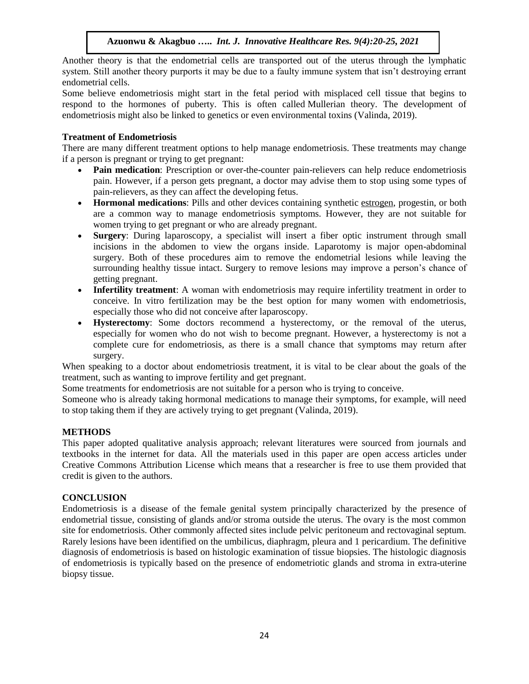Another theory is that the endometrial cells are transported out of the uterus through the lymphatic system. Still another theory purports it may be due to a faulty immune system that isn't destroying errant endometrial cells.

Some believe endometriosis might start in the fetal period with misplaced cell tissue that begins to respond to the hormones of puberty. This is often called [Mullerian theory.](https://www.tandfonline.com/doi/full/10.1080/15476278.2016.1145317) The development of endometriosis might also be linked to genetics or even environmental toxins [\(Valinda,](https://www.healthline.com/reviewers/valinda-riggins-nwadike-md-mph) 2019).

## **Treatment of Endometriosis**

There are many different treatment options to help manage endometriosis. These treatments may change if a person is pregnant or trying to get pregnant:

- **Pain medication**: Prescription or over-the-counter pain-relievers can help reduce endometriosis pain. However, if a person gets pregnant, a doctor may advise them to stop using some types of pain-relievers, as they can affect the developing fetus.
- **Hormonal medications**: Pills and other devices containing synthetic [estrogen,](https://www.medicalnewstoday.com/articles/277177.php) progestin, or both are a common way to manage endometriosis symptoms. However, they are not suitable for women trying to get pregnant or who are already pregnant.
- **Surgery**: During laparoscopy, a specialist will insert a fiber optic instrument through small incisions in the abdomen to view the organs inside. Laparotomy is major open-abdominal surgery. Both of these procedures aim to remove the endometrial lesions while leaving the surrounding healthy tissue intact. Surgery to remove lesions may improve a person's chance of getting pregnant.
- **Infertility treatment**: A woman with endometriosis may require infertility treatment in order to conceive. In vitro fertilization may be the best option for many women with endometriosis, especially those who did not conceive after laparoscopy.
- **Hysterectomy**: Some doctors recommend a hysterectomy, or the removal of the uterus, especially for women who do not wish to become pregnant. However, a hysterectomy is not a complete cure for endometriosis, as there is a small chance that symptoms may return after surgery.

When speaking to a doctor about endometriosis treatment, it is vital to be clear about the goals of the treatment, such as wanting to improve fertility and get pregnant.

Some treatments for endometriosis are not suitable for a person who is trying to conceive.

Someone who is already taking hormonal medications to manage their symptoms, for example, will need to stop taking them if they are actively trying to get pregnant [\(Valinda,](https://www.healthline.com/reviewers/valinda-riggins-nwadike-md-mph) 2019).

# **METHODS**

This paper adopted qualitative analysis approach; relevant literatures were sourced from journals and textbooks in the internet for data. All the materials used in this paper are open access articles under Creative Commons Attribution License which means that a researcher is free to use them provided that credit is given to the authors.

### **CONCLUSION**

Endometriosis is a disease of the female genital system principally characterized by the presence of endometrial tissue, consisting of glands and/or stroma outside the uterus. The ovary is the most common site for endometriosis. Other commonly affected sites include pelvic peritoneum and rectovaginal septum. Rarely lesions have been identified on the umbilicus, diaphragm, pleura and 1 pericardium. The definitive diagnosis of endometriosis is based on histologic examination of tissue biopsies. The histologic diagnosis of endometriosis is typically based on the presence of endometriotic glands and stroma in extra-uterine biopsy tissue.